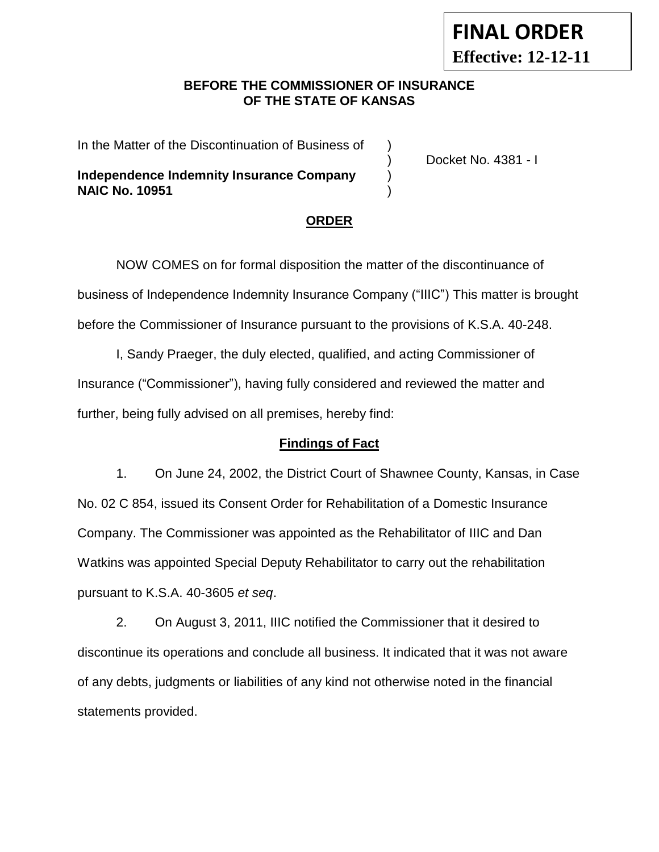## **BEFORE THE COMMISSIONER OF INSURANCE OF THE STATE OF KANSAS**

In the Matter of the Discontinuation of Business of )

**Independence Indemnity Insurance Company NAIC No. 10951** )

) Docket No. 4381 - I

**FINAL ORDER**

**Effective: 12-12-11**

### **ORDER**

NOW COMES on for formal disposition the matter of the discontinuance of business of Independence Indemnity Insurance Company ("IIIC") This matter is brought before the Commissioner of Insurance pursuant to the provisions of K.S.A. 40-248.

I, Sandy Praeger, the duly elected, qualified, and acting Commissioner of Insurance ("Commissioner"), having fully considered and reviewed the matter and further, being fully advised on all premises, hereby find:

#### **Findings of Fact**

1. On June 24, 2002, the District Court of Shawnee County, Kansas, in Case No. 02 C 854, issued its Consent Order for Rehabilitation of a Domestic Insurance Company. The Commissioner was appointed as the Rehabilitator of IIIC and Dan Watkins was appointed Special Deputy Rehabilitator to carry out the rehabilitation pursuant to K.S.A. 40-3605 *et seq*.

2. On August 3, 2011, IIIC notified the Commissioner that it desired to discontinue its operations and conclude all business. It indicated that it was not aware of any debts, judgments or liabilities of any kind not otherwise noted in the financial statements provided.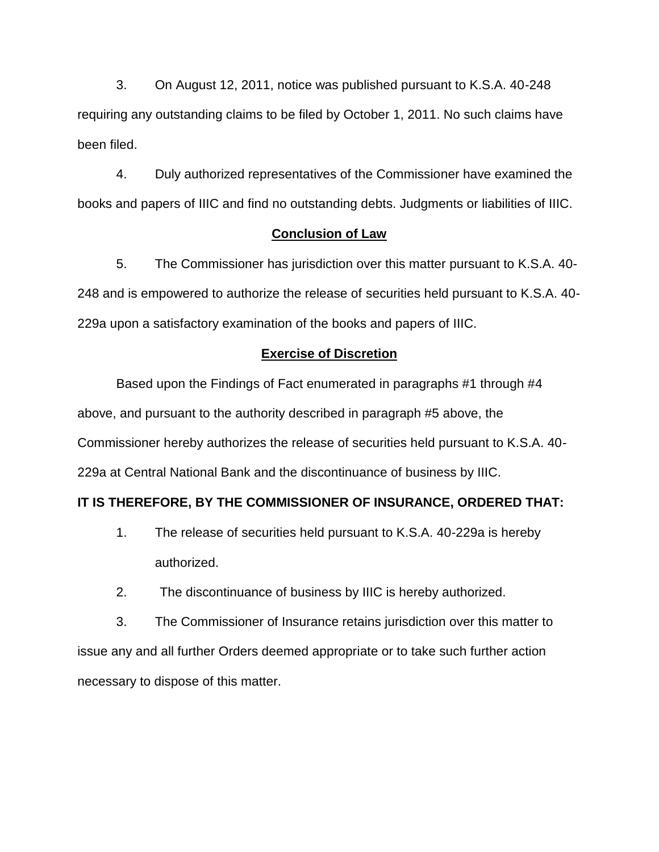3. On August 12, 2011, notice was published pursuant to K.S.A. 40-248 requiring any outstanding claims to be filed by October 1, 2011. No such claims have been filed.

4. Duly authorized representatives of the Commissioner have examined the books and papers of IIIC and find no outstanding debts. Judgments or liabilities of IIIC.

### **Conclusion of Law**

5. The Commissioner has jurisdiction over this matter pursuant to K.S.A. 40- 248 and is empowered to authorize the release of securities held pursuant to K.S.A. 40- 229a upon a satisfactory examination of the books and papers of IIIC.

#### **Exercise of Discretion**

Based upon the Findings of Fact enumerated in paragraphs #1 through #4 above, and pursuant to the authority described in paragraph #5 above, the Commissioner hereby authorizes the release of securities held pursuant to K.S.A. 40- 229a at Central National Bank and the discontinuance of business by IIIC.

### **IT IS THEREFORE, BY THE COMMISSIONER OF INSURANCE, ORDERED THAT:**

- 1. The release of securities held pursuant to K.S.A. 40-229a is hereby authorized.
- 2. The discontinuance of business by IIIC is hereby authorized.

3. The Commissioner of Insurance retains jurisdiction over this matter to issue any and all further Orders deemed appropriate or to take such further action necessary to dispose of this matter.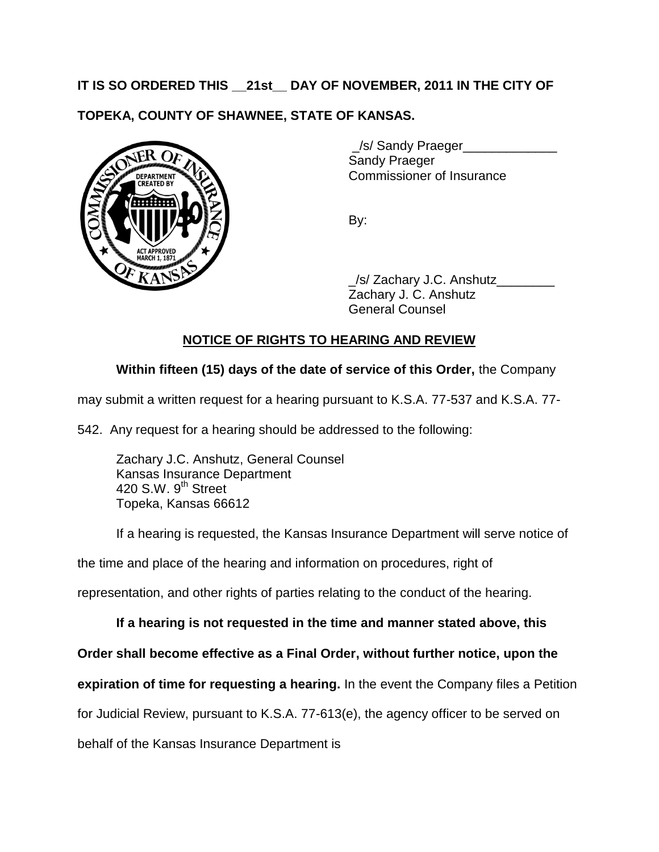# **IT IS SO ORDERED THIS \_\_21st\_\_ DAY OF NOVEMBER, 2011 IN THE CITY OF**

# **TOPEKA, COUNTY OF SHAWNEE, STATE OF KANSAS.**



\_/s/ Sandy Praeger\_\_\_\_\_\_\_\_\_\_\_\_\_ Sandy Praeger Commissioner of Insurance

By:

/s/ Zachary J.C. Anshutz Zachary J. C. Anshutz General Counsel

# **NOTICE OF RIGHTS TO HEARING AND REVIEW**

## **Within fifteen (15) days of the date of service of this Order,** the Company

may submit a written request for a hearing pursuant to K.S.A. 77-537 and K.S.A. 77-

542. Any request for a hearing should be addressed to the following:

Zachary J.C. Anshutz, General Counsel Kansas Insurance Department 420 S.W. 9<sup>th</sup> Street Topeka, Kansas 66612

If a hearing is requested, the Kansas Insurance Department will serve notice of

the time and place of the hearing and information on procedures, right of

representation, and other rights of parties relating to the conduct of the hearing.

## **If a hearing is not requested in the time and manner stated above, this**

**Order shall become effective as a Final Order, without further notice, upon the** 

**expiration of time for requesting a hearing.** In the event the Company files a Petition

for Judicial Review, pursuant to K.S.A. 77-613(e), the agency officer to be served on

behalf of the Kansas Insurance Department is